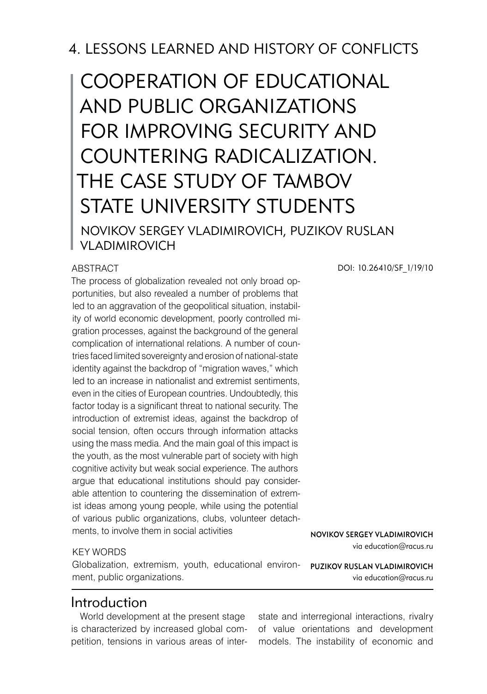# 4. LESSONS LEARNED AND HISTORY OF CONFLICTS

# Cooperation of Educational and Public Organizations for Improving Security and Countering Radicalization. The Case Study of Tambov STATE UNIVERSITY STUDENTS Novikov Sergey Vladimirovich, Puzikov Ruslan Vladimirovich

#### **ABSTRACT**

The process of globalization revealed not only broad opportunities, but also revealed a number of problems that led to an aggravation of the geopolitical situation, instability of world economic development, poorly controlled migration processes, against the background of the general complication of international relations. A number of countries faced limited sovereignty and erosion of national-state identity against the backdrop of "migration waves," which led to an increase in nationalist and extremist sentiments, even in the cities of European countries. Undoubtedly, this factor today is a significant threat to national security. The introduction of extremist ideas, against the backdrop of social tension, often occurs through information attacks using the mass media. And the main goal of this impact is the youth, as the most vulnerable part of society with high cognitive activity but weak social experience. The authors argue that educational institutions should pay considerable attention to countering the dissemination of extremist ideas among young people, while using the potential of various public organizations, clubs, volunteer detachments, to involve them in social activities

#### KEY WORDS

Globalization, extremism, youth, educational environ- PUZIKOV RUSLAN VLADIMIROVI ment, public organizations.

## Introduction

World development at the present stage is characterized by increased global competition, tensions in various areas of interDOI: 10.26410/SF\_1/19/10

Novikov Sergey Vladimirovich via education@racus.ru

via education@racus.ru

state and interregional interactions, rivalry of value orientations and development models. The instability of economic and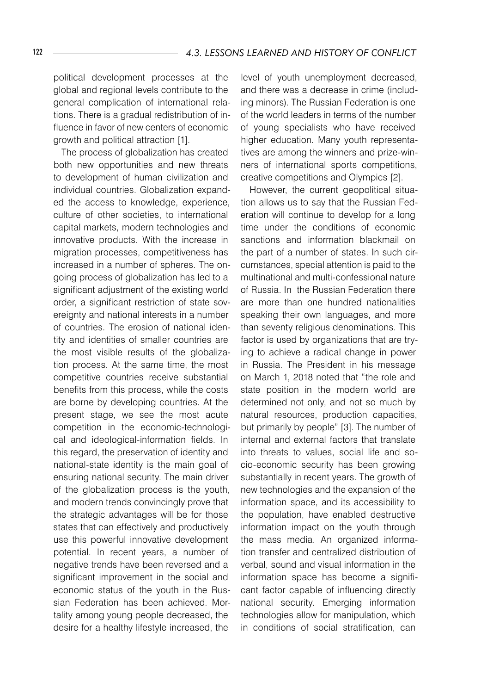political development processes at the global and regional levels contribute to the general complication of international relations. There is a gradual redistribution of influence in favor of new centers of economic growth and political attraction [1].

The process of globalization has created both new opportunities and new threats to development of human civilization and individual countries. Globalization expanded the access to knowledge, experience, culture of other societies, to international capital markets, modern technologies and innovative products. With the increase in migration processes, competitiveness has increased in a number of spheres. The ongoing process of globalization has led to a significant adjustment of the existing world order, a significant restriction of state sovereignty and national interests in a number of countries. The erosion of national identity and identities of smaller countries are the most visible results of the globalization process. At the same time, the most competitive countries receive substantial benefits from this process, while the costs are borne by developing countries. At the present stage, we see the most acute competition in the economic-technological and ideological-information fields. In this regard, the preservation of identity and national-state identity is the main goal of ensuring national security. The main driver of the globalization process is the youth, and modern trends convincingly prove that the strategic advantages will be for those states that can effectively and productively use this powerful innovative development potential. In recent years, a number of negative trends have been reversed and a significant improvement in the social and economic status of the youth in the Russian Federation has been achieved. Mortality among young people decreased, the desire for a healthy lifestyle increased, the

level of youth unemployment decreased, and there was a decrease in crime (including minors). The Russian Federation is one of the world leaders in terms of the number of young specialists who have received higher education. Many youth representatives are among the winners and prize-winners of international sports competitions, creative competitions and Olympics [2].

However, the current geopolitical situation allows us to say that the Russian Federation will continue to develop for a long time under the conditions of economic sanctions and information blackmail on the part of a number of states. In such circumstances, special attention is paid to the multinational and multi-confessional nature of Russia. In the Russian Federation there are more than one hundred nationalities speaking their own languages, and more than seventy religious denominations. This factor is used by organizations that are trying to achieve a radical change in power in Russia. The President in his message on March 1, 2018 noted that "the role and state position in the modern world are determined not only, and not so much by natural resources, production capacities, but primarily by people" [3]. The number of internal and external factors that translate into threats to values, social life and socio-economic security has been growing substantially in recent years. The growth of new technologies and the expansion of the information space, and its accessibility to the population, have enabled destructive information impact on the youth through the mass media. An organized information transfer and centralized distribution of verbal, sound and visual information in the information space has become a significant factor capable of influencing directly national security. Emerging information technologies allow for manipulation, which in conditions of social stratification, can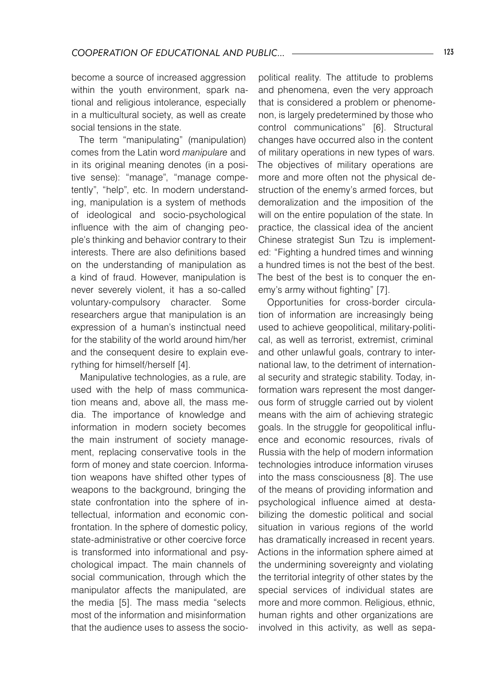become a source of increased aggression within the youth environment, spark national and religious intolerance, especially in a multicultural society, as well as create social tensions in the state.

The term "manipulating" (manipulation) comes from the Latin word *manipulare* and in its original meaning denotes (in a positive sense): "manage", "manage competently", "help", etc. In modern understanding, manipulation is a system of methods of ideological and socio-psychological influence with the aim of changing people's thinking and behavior contrary to their interests. There are also definitions based on the understanding of manipulation as a kind of fraud. However, manipulation is never severely violent, it has a so-called voluntary-compulsory character. Some researchers argue that manipulation is an expression of a human's instinctual need for the stability of the world around him/her and the consequent desire to explain everything for himself/herself [4].

Manipulative technologies, as a rule, are used with the help of mass communication means and, above all, the mass media. The importance of knowledge and information in modern society becomes the main instrument of society management, replacing conservative tools in the form of money and state coercion. Information weapons have shifted other types of weapons to the background, bringing the state confrontation into the sphere of intellectual, information and economic confrontation. In the sphere of domestic policy, state-administrative or other coercive force is transformed into informational and psychological impact. The main channels of social communication, through which the manipulator affects the manipulated, are the media [5]. The mass media "selects most of the information and misinformation that the audience uses to assess the socio-

political reality. The attitude to problems and phenomena, even the very approach that is considered a problem or phenomenon, is largely predetermined by those who control communications" [6]. Structural changes have occurred also in the content of military operations in new types of wars. The objectives of military operations are more and more often not the physical destruction of the enemy's armed forces, but demoralization and the imposition of the will on the entire population of the state. In practice, the classical idea of the ancient Chinese strategist Sun Tzu is implemented: "Fighting a hundred times and winning a hundred times is not the best of the best. The best of the best is to conquer the enemy's army without fighting" [7].

Opportunities for cross-border circulation of information are increasingly being used to achieve geopolitical, military-political, as well as terrorist, extremist, criminal and other unlawful goals, contrary to international law, to the detriment of international security and strategic stability. Today, information wars represent the most dangerous form of struggle carried out by violent means with the aim of achieving strategic goals. In the struggle for geopolitical influence and economic resources, rivals of Russia with the help of modern information technologies introduce information viruses into the mass consciousness [8]. The use of the means of providing information and psychological influence aimed at destabilizing the domestic political and social situation in various regions of the world has dramatically increased in recent years. Actions in the information sphere aimed at the undermining sovereignty and violating the territorial integrity of other states by the special services of individual states are more and more common. Religious, ethnic, human rights and other organizations are involved in this activity, as well as sepa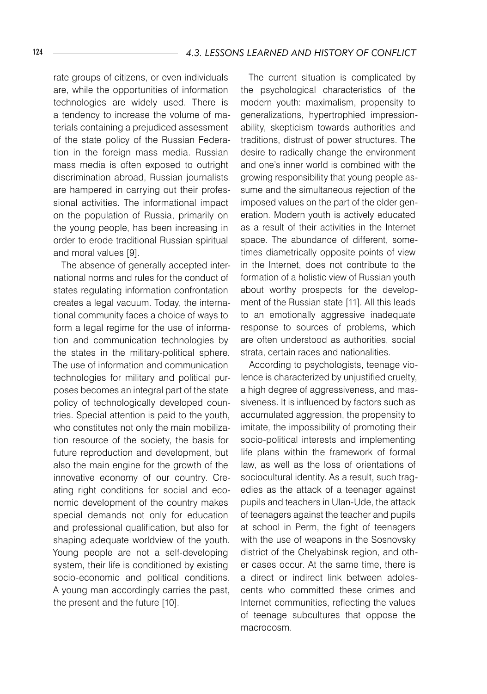rate groups of citizens, or even individuals are, while the opportunities of information technologies are widely used. There is a tendency to increase the volume of materials containing a prejudiced assessment of the state policy of the Russian Federation in the foreign mass media. Russian mass media is often exposed to outright discrimination abroad, Russian journalists are hampered in carrying out their professional activities. The informational impact on the population of Russia, primarily on the young people, has been increasing in order to erode traditional Russian spiritual and moral values [9].

The absence of generally accepted international norms and rules for the conduct of states regulating information confrontation creates a legal vacuum. Today, the international community faces a choice of ways to form a legal regime for the use of information and communication technologies by the states in the military-political sphere. The use of information and communication technologies for military and political purposes becomes an integral part of the state policy of technologically developed countries. Special attention is paid to the youth, who constitutes not only the main mobilization resource of the society, the basis for future reproduction and development, but also the main engine for the growth of the innovative economy of our country. Creating right conditions for social and economic development of the country makes special demands not only for education and professional qualification, but also for shaping adequate worldview of the youth. Young people are not a self-developing system, their life is conditioned by existing socio-economic and political conditions. A young man accordingly carries the past, the present and the future [10].

The current situation is complicated by the psychological characteristics of the modern youth: maximalism, propensity to generalizations, hypertrophied impressionability, skepticism towards authorities and traditions, distrust of power structures. The desire to radically change the environment and one's inner world is combined with the growing responsibility that young people assume and the simultaneous rejection of the imposed values on the part of the older generation. Modern youth is actively educated as a result of their activities in the Internet space. The abundance of different, sometimes diametrically opposite points of view in the Internet, does not contribute to the formation of a holistic view of Russian youth about worthy prospects for the development of the Russian state [11]. All this leads to an emotionally aggressive inadequate response to sources of problems, which are often understood as authorities, social strata, certain races and nationalities.

According to psychologists, teenage violence is characterized by unjustified cruelty, a high degree of aggressiveness, and massiveness. It is influenced by factors such as accumulated aggression, the propensity to imitate, the impossibility of promoting their socio-political interests and implementing life plans within the framework of formal law, as well as the loss of orientations of sociocultural identity. As a result, such tragedies as the attack of a teenager against pupils and teachers in Ulan-Ude, the attack of teenagers against the teacher and pupils at school in Perm, the fight of teenagers with the use of weapons in the Sosnovsky district of the Chelyabinsk region, and other cases occur. At the same time, there is a direct or indirect link between adolescents who committed these crimes and Internet communities, reflecting the values of teenage subcultures that oppose the macrocosm.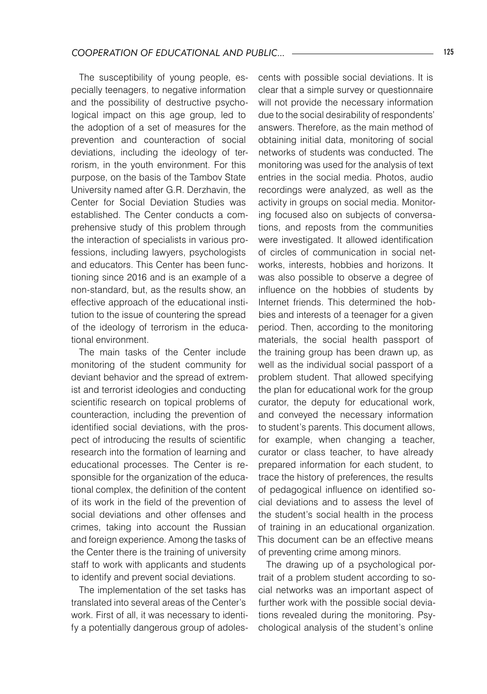The susceptibility of young people, especially teenagers, to negative information and the possibility of destructive psychological impact on this age group, led to the adoption of a set of measures for the prevention and counteraction of social deviations, including the ideology of terrorism, in the youth environment. For this purpose, on the basis of the Tambov State University named after G.R. Derzhavin, the Center for Social Deviation Studies was established. The Center conducts a comprehensive study of this problem through the interaction of specialists in various professions, including lawyers, psychologists and educators. This Center has been functioning since 2016 and is an example of a non-standard, but, as the results show, an effective approach of the educational institution to the issue of countering the spread of the ideology of terrorism in the educational environment.

The main tasks of the Center include monitoring of the student community for deviant behavior and the spread of extremist and terrorist ideologies and conducting scientific research on topical problems of counteraction, including the prevention of identified social deviations, with the prospect of introducing the results of scientific research into the formation of learning and educational processes. The Center is responsible for the organization of the educational complex, the definition of the content of its work in the field of the prevention of social deviations and other offenses and crimes, taking into account the Russian and foreign experience. Among the tasks of the Center there is the training of university staff to work with applicants and students to identify and prevent social deviations.

The implementation of the set tasks has translated into several areas of the Center's work. First of all, it was necessary to identify a potentially dangerous group of adoles-

cents with possible social deviations. It is clear that a simple survey or questionnaire will not provide the necessary information due to the social desirability of respondents' answers. Therefore, as the main method of obtaining initial data, monitoring of social networks of students was conducted. The monitoring was used for the analysis of text entries in the social media. Photos, audio recordings were analyzed, as well as the activity in groups on social media. Monitoring focused also on subjects of conversations, and reposts from the communities were investigated. It allowed identification of circles of communication in social networks, interests, hobbies and horizons. It was also possible to observe a degree of influence on the hobbies of students by Internet friends. This determined the hobbies and interests of a teenager for a given period. Then, according to the monitoring materials, the social health passport of the training group has been drawn up, as well as the individual social passport of a problem student. That allowed specifying the plan for educational work for the group curator, the deputy for educational work, and conveyed the necessary information to student's parents. This document allows, for example, when changing a teacher, curator or class teacher, to have already prepared information for each student, to trace the history of preferences, the results of pedagogical influence on identified social deviations and to assess the level of the student's social health in the process of training in an educational organization. This document can be an effective means of preventing crime among minors.

The drawing up of a psychological portrait of a problem student according to social networks was an important aspect of further work with the possible social deviations revealed during the monitoring. Psychological analysis of the student's online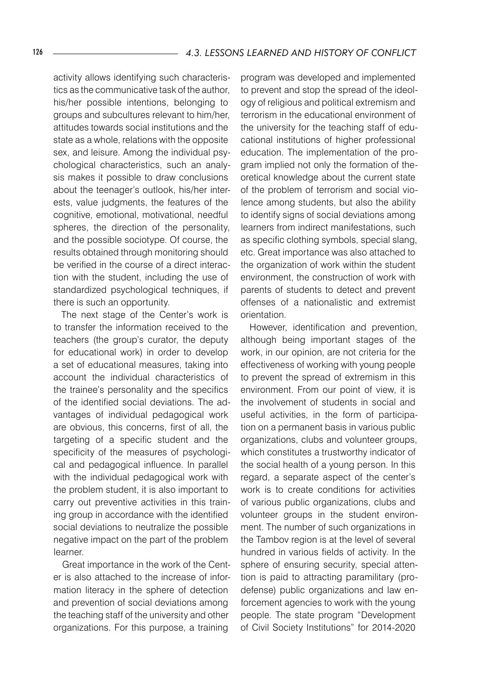activity allows identifying such characteristics as the communicative task of the author, his/her possible intentions, belonging to groups and subcultures relevant to him/her, attitudes towards social institutions and the state as a whole, relations with the opposite sex, and leisure. Among the individual psychological characteristics, such an analysis makes it possible to draw conclusions about the teenager's outlook, his/her interests, value judgments, the features of the cognitive, emotional, motivational, needful spheres, the direction of the personality, and the possible sociotype. Of course, the results obtained through monitoring should be verified in the course of a direct interaction with the student, including the use of standardized psychological techniques, if there is such an opportunity.

The next stage of the Center's work is to transfer the information received to the teachers (the group's curator, the deputy for educational work) in order to develop a set of educational measures, taking into account the individual characteristics of the trainee's personality and the specifics of the identified social deviations. The advantages of individual pedagogical work are obvious, this concerns, first of all, the targeting of a specific student and the specificity of the measures of psychological and pedagogical influence. In parallel with the individual pedagogical work with the problem student, it is also important to carry out preventive activities in this training group in accordance with the identified social deviations to neutralize the possible negative impact on the part of the problem learner.

Great importance in the work of the Center is also attached to the increase of information literacy in the sphere of detection and prevention of social deviations among the teaching staff of the university and other organizations. For this purpose, a training

program was developed and implemented to prevent and stop the spread of the ideology of religious and political extremism and terrorism in the educational environment of the university for the teaching staff of educational institutions of higher professional education. The implementation of the program implied not only the formation of theoretical knowledge about the current state of the problem of terrorism and social violence among students, but also the ability to identify signs of social deviations among learners from indirect manifestations, such as specific clothing symbols, special slang, etc. Great importance was also attached to the organization of work within the student environment, the construction of work with parents of students to detect and prevent offenses of a nationalistic and extremist orientation.

However, identification and prevention, although being important stages of the work, in our opinion, are not criteria for the effectiveness of working with young people to prevent the spread of extremism in this environment. From our point of view, it is the involvement of students in social and useful activities, in the form of participation on a permanent basis in various public organizations, clubs and volunteer groups, which constitutes a trustworthy indicator of the social health of a young person. In this regard, a separate aspect of the center's work is to create conditions for activities of various public organizations, clubs and volunteer groups in the student environment. The number of such organizations in the Tambov region is at the level of several hundred in various fields of activity. In the sphere of ensuring security, special attention is paid to attracting paramilitary (prodefense) public organizations and law enforcement agencies to work with the young people. The state program "Development of Civil Society Institutions" for 2014-2020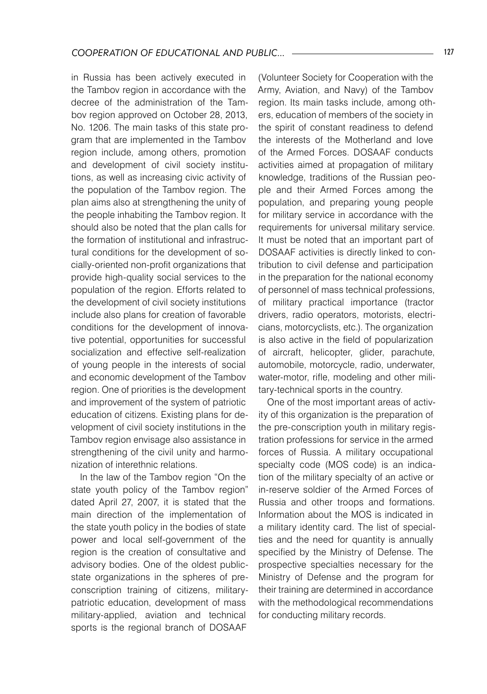in Russia has been actively executed in the Tambov region in accordance with the decree of the administration of the Tambov region approved on October 28, 2013, No. 1206. The main tasks of this state program that are implemented in the Tambov region include, among others, promotion and development of civil society institutions, as well as increasing civic activity of the population of the Tambov region. The plan aims also at strengthening the unity of the people inhabiting the Tambov region. It should also be noted that the plan calls for the formation of institutional and infrastructural conditions for the development of socially-oriented non-profit organizations that provide high-quality social services to the population of the region. Efforts related to the development of civil society institutions include also plans for creation of favorable conditions for the development of innovative potential, opportunities for successful socialization and effective self-realization of young people in the interests of social and economic development of the Tambov region. One of priorities is the development and improvement of the system of patriotic education of citizens. Existing plans for development of civil society institutions in the Tambov region envisage also assistance in strengthening of the civil unity and harmonization of interethnic relations.

In the law of the Tambov region "On the state youth policy of the Tambov region" dated April 27, 2007, it is stated that the main direction of the implementation of the state youth policy in the bodies of state power and local self-government of the region is the creation of consultative and advisory bodies. One of the oldest publicstate organizations in the spheres of preconscription training of citizens, militarypatriotic education, development of mass military-applied, aviation and technical sports is the regional branch of DOSAAF

(Volunteer Society for Cooperation with the Army, Aviation, and Navy) of the Tambov region. Its main tasks include, among others, education of members of the society in the spirit of constant readiness to defend the interests of the Motherland and love of the Armed Forces. DOSAAF conducts activities aimed at propagation of military knowledge, traditions of the Russian people and their Armed Forces among the population, and preparing young people for military service in accordance with the requirements for universal military service. It must be noted that an important part of DOSAAF activities is directly linked to contribution to civil defense and participation in the preparation for the national economy of personnel of mass technical professions, of military practical importance (tractor drivers, radio operators, motorists, electricians, motorcyclists, etc.). The organization is also active in the field of popularization of aircraft, helicopter, glider, parachute, automobile, motorcycle, radio, underwater, water-motor, rifle, modeling and other military-technical sports in the country.

One of the most important areas of activity of this organization is the preparation of the pre-conscription youth in military registration professions for service in the armed forces of Russia. A military occupational specialty code (MOS code) is an indication of the military specialty of an active or in-reserve soldier of the Armed Forces of Russia and other troops and formations. Information about the MOS is indicated in a military identity card. The list of specialties and the need for quantity is annually specified by the Ministry of Defense. The prospective specialties necessary for the Ministry of Defense and the program for their training are determined in accordance with the methodological recommendations for conducting military records.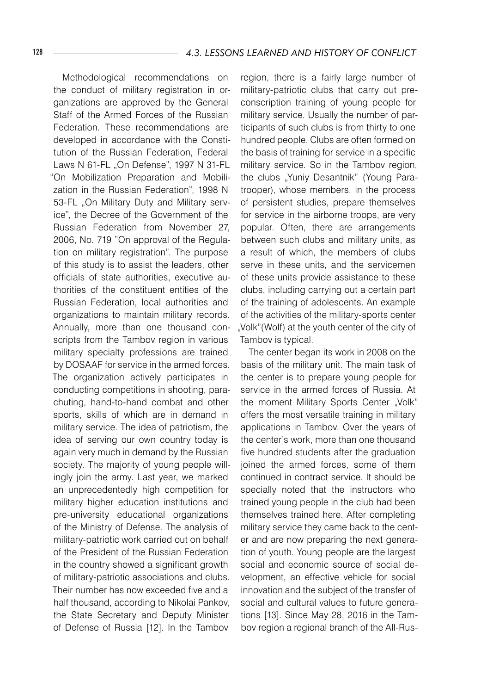Methodological recommendations on the conduct of military registration in organizations are approved by the General Staff of the Armed Forces of the Russian Federation. These recommendations are developed in accordance with the Constitution of the Russian Federation, Federal Laws N 61-FL "On Defense", 1997 N 31-FL "On Mobilization Preparation and Mobilization in the Russian Federation", 1998 N 53-FL "On Military Duty and Military service", the Decree of the Government of the Russian Federation from November 27, 2006, No. 719 "On approval of the Regulation on military registration". The purpose of this study is to assist the leaders, other officials of state authorities, executive authorities of the constituent entities of the Russian Federation, local authorities and organizations to maintain military records. Annually, more than one thousand conscripts from the Tambov region in various military specialty professions are trained by DOSAAF for service in the armed forces. The organization actively participates in conducting competitions in shooting, parachuting, hand-to-hand combat and other sports, skills of which are in demand in military service. The idea of patriotism, the idea of serving our own country today is again very much in demand by the Russian society. The majority of young people willingly join the army. Last year, we marked an unprecedentedly high competition for military higher education institutions and pre-university educational organizations of the Ministry of Defense. The analysis of military-patriotic work carried out on behalf of the President of the Russian Federation in the country showed a significant growth of military-patriotic associations and clubs. Their number has now exceeded five and a half thousand, according to Nikolai Pankov, the State Secretary and Deputy Minister of Defense of Russia [12]. In the Tambov

region, there is a fairly large number of military-patriotic clubs that carry out preconscription training of young people for military service. Usually the number of participants of such clubs is from thirty to one hundred people. Clubs are often formed on the basis of training for service in a specific military service. So in the Tambov region, the clubs "Yuniy Desantnik" (Young Paratrooper), whose members, in the process of persistent studies, prepare themselves for service in the airborne troops, are very popular. Often, there are arrangements between such clubs and military units, as a result of which, the members of clubs serve in these units, and the servicemen of these units provide assistance to these clubs, including carrying out a certain part of the training of adolescents. An example of the activities of the military-sports center "Volk"(Wolf) at the youth center of the city of Tambov is typical.

The center began its work in 2008 on the basis of the military unit. The main task of the center is to prepare young people for service in the armed forces of Russia. At the moment Military Sports Center "Volk" offers the most versatile training in military applications in Tambov. Over the years of the center's work, more than one thousand five hundred students after the graduation joined the armed forces, some of them continued in contract service. It should be specially noted that the instructors who trained young people in the club had been themselves trained here. After completing military service they came back to the center and are now preparing the next generation of youth. Young people are the largest social and economic source of social development, an effective vehicle for social innovation and the subject of the transfer of social and cultural values to future generations [13]. Since May 28, 2016 in the Tambov region a regional branch of the All-Rus-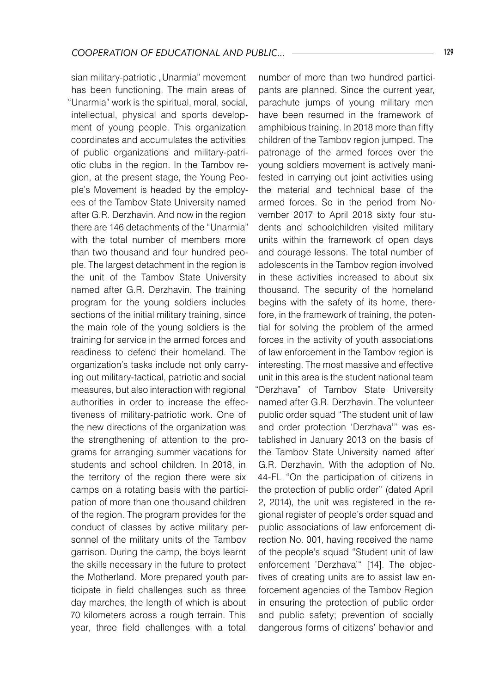sian military-patriotic "Unarmia" movement has been functioning. The main areas of "Unarmia" work is the spiritual, moral, social, intellectual, physical and sports development of young people. This organization coordinates and accumulates the activities of public organizations and military-patriotic clubs in the region. In the Tambov region, at the present stage, the Young People's Movement is headed by the employees of the Tambov State University named after G.R. Derzhavin. And now in the region there are 146 detachments of the "Unarmia" with the total number of members more than two thousand and four hundred people. The largest detachment in the region is the unit of the Tambov State University named after G.R. Derzhavin. The training program for the young soldiers includes sections of the initial military training, since the main role of the young soldiers is the training for service in the armed forces and readiness to defend their homeland. The organization's tasks include not only carrying out military-tactical, patriotic and social measures, but also interaction with regional authorities in order to increase the effectiveness of military-patriotic work. One of the new directions of the organization was the strengthening of attention to the programs for arranging summer vacations for students and school children. In 2018, in the territory of the region there were six camps on a rotating basis with the participation of more than one thousand children of the region. The program provides for the conduct of classes by active military personnel of the military units of the Tambov garrison. During the camp, the boys learnt the skills necessary in the future to protect the Motherland. More prepared youth participate in field challenges such as three day marches, the length of which is about 70 kilometers across a rough terrain. This year, three field challenges with a total

number of more than two hundred participants are planned. Since the current year, parachute jumps of young military men have been resumed in the framework of amphibious training. In 2018 more than fifty children of the Tambov region jumped. The patronage of the armed forces over the young soldiers movement is actively manifested in carrying out joint activities using the material and technical base of the armed forces. So in the period from November 2017 to April 2018 sixty four students and schoolchildren visited military units within the framework of open days and courage lessons. The total number of adolescents in the Tambov region involved in these activities increased to about six thousand. The security of the homeland begins with the safety of its home, therefore, in the framework of training, the potential for solving the problem of the armed forces in the activity of youth associations of law enforcement in the Tambov region is interesting. The most massive and effective unit in this area is the student national team "Derzhava" of Tambov State University named after G.R. Derzhavin. The volunteer public order squad "The student unit of law and order protection 'Derzhava'" was established in January 2013 on the basis of the Tambov State University named after G.R. Derzhavin. With the adoption of No. 44-FL "On the participation of citizens in the protection of public order" (dated April 2, 2014), the unit was registered in the regional register of people's order squad and public associations of law enforcement direction No. 001, having received the name of the people's squad "Student unit of law enforcement 'Derzhava'" [14]. The objectives of creating units are to assist law enforcement agencies of the Tambov Region in ensuring the protection of public order and public safety; prevention of socially dangerous forms of citizens' behavior and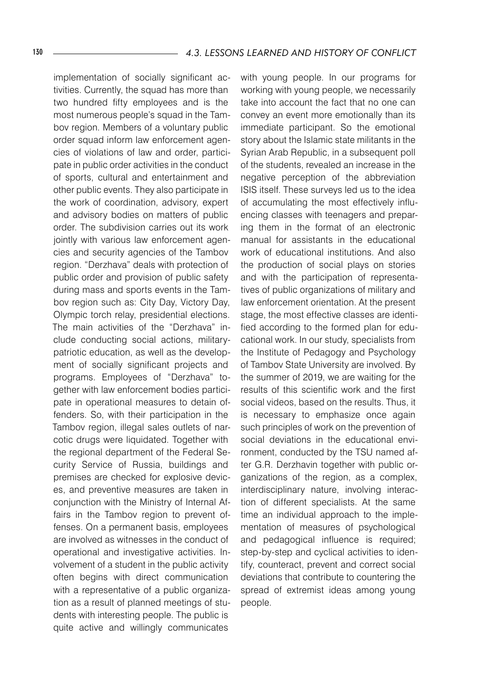implementation of socially significant activities. Currently, the squad has more than two hundred fifty employees and is the most numerous people's squad in the Tambov region. Members of a voluntary public order squad inform law enforcement agencies of violations of law and order, participate in public order activities in the conduct of sports, cultural and entertainment and other public events. They also participate in the work of coordination, advisory, expert and advisory bodies on matters of public order. The subdivision carries out its work jointly with various law enforcement agencies and security agencies of the Tambov region. "Derzhava" deals with protection of public order and provision of public safety during mass and sports events in the Tambov region such as: City Day, Victory Day, Olympic torch relay, presidential elections. The main activities of the "Derzhava" include conducting social actions, militarypatriotic education, as well as the development of socially significant projects and programs. Employees of "Derzhava" together with law enforcement bodies participate in operational measures to detain offenders. So, with their participation in the Tambov region, illegal sales outlets of narcotic drugs were liquidated. Together with the regional department of the Federal Security Service of Russia, buildings and premises are checked for explosive devices, and preventive measures are taken in conjunction with the Ministry of Internal Affairs in the Tambov region to prevent offenses. On a permanent basis, employees are involved as witnesses in the conduct of operational and investigative activities. Involvement of a student in the public activity often begins with direct communication with a representative of a public organization as a result of planned meetings of students with interesting people. The public is quite active and willingly communicates

with young people. In our programs for working with young people, we necessarily take into account the fact that no one can convey an event more emotionally than its immediate participant. So the emotional story about the Islamic state militants in the Syrian Arab Republic, in a subsequent poll of the students, revealed an increase in the negative perception of the abbreviation ISIS itself. These surveys led us to the idea of accumulating the most effectively influencing classes with teenagers and preparing them in the format of an electronic manual for assistants in the educational work of educational institutions. And also the production of social plays on stories and with the participation of representatives of public organizations of military and law enforcement orientation. At the present stage, the most effective classes are identified according to the formed plan for educational work. In our study, specialists from the Institute of Pedagogy and Psychology of Tambov State University are involved. By the summer of 2019, we are waiting for the results of this scientific work and the first social videos, based on the results. Thus, it is necessary to emphasize once again such principles of work on the prevention of social deviations in the educational environment, conducted by the TSU named after G.R. Derzhavin together with public organizations of the region, as a complex, interdisciplinary nature, involving interaction of different specialists. At the same time an individual approach to the implementation of measures of psychological and pedagogical influence is required; step-by-step and cyclical activities to identify, counteract, prevent and correct social deviations that contribute to countering the spread of extremist ideas among young people.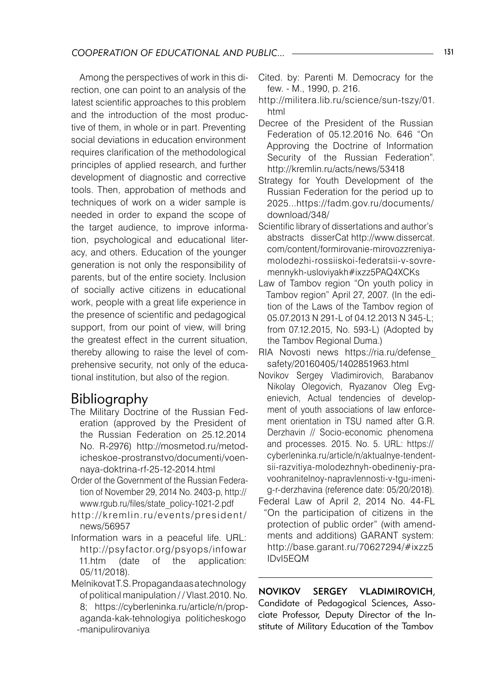Among the perspectives of work in this direction, one can point to an analysis of the latest scientific approaches to this problem and the introduction of the most productive of them, in whole or in part. Preventing social deviations in education environment requires clarification of the methodological principles of applied research, and further development of diagnostic and corrective tools. Then, approbation of methods and techniques of work on a wider sample is needed in order to expand the scope of the target audience, to improve information, psychological and educational literacy, and others. Education of the younger generation is not only the responsibility of parents, but of the entire society. Inclusion of socially active citizens in educational work, people with a great life experience in the presence of scientific and pedagogical support, from our point of view, will bring the greatest effect in the current situation, thereby allowing to raise the level of comprehensive security, not only of the educational institution, but also of the region.

## Bibliography

- The Military Doctrine of the Russian Federation (approved by the President of the Russian Federation on 25.12.2014 No. R-2976) http://mosmetod.ru/metodicheskoe-prostranstvo/documenti/voennaya-doktrina-rf-25-12-2014.html
- Order of the Government of the Russian Federation of November 29, 2014 No. 2403-p, http:// www.rgub.ru/files/state\_policy-1021-2.pdf
- http://kremlin.ru/events/president/ news/56957
- Information wars in a peaceful life. URL: http://psyfactor.org/psyops/infowar 11.htm (date of the application: 05/11/2018).
- MelnikovatT.S.Propagandaasatechnology of political manipulation / / Vlast.2010. No. 8; https://cyberleninka.ru/article/n/propaganda-kak-tehnologiya politicheskogo -manipulirovaniya
- Cited. by: Parenti M. Democracy for the few. - M., 1990, p. 216.
- http://militera.lib.ru/science/sun-tszy/01. html
- Decree of the President of the Russian Federation of 05.12.2016 No. 646 "On Approving the Doctrine of Information Security of the Russian Federation". http://kremlin.ru/acts/news/53418
- Strategy for Youth Development of the Russian Federation for the period up to 2025...https://fadm.gov.ru/documents/ download/348/
- Scientific library of dissertations and author's abstracts disserCat http://www.dissercat. com/content/formirovanie-mirovozzreniyamolodezhi-rossiiskoi-federatsii-v-sovremennykh-usloviyakh#ixzz5PAQ4XCKs
- Law of Tambov region "On youth policy in Tambov region" April 27, 2007. (In the edition of the Laws of the Tambov region of 05.07.2013 N 291-L of 04.12.2013 N 345-L; from 07.12.2015, No. 593-L) (Adopted by the Tambov Regional Duma.)
- RIA Novosti news https://ria.ru/defense\_ safety/20160405/1402851963.html
- Novikov Sergey Vladimirovich, Barabanov Nikolay Olegovich, Ryazanov Oleg Evgenievich, Actual tendencies of development of youth associations of law enforcement orientation in TSU named after G.R. Derzhavin // Socio-economic phenomena and processes. 2015. No. 5. URL: https:// cyberleninka.ru/article/n/aktualnye-tendentsii-razvitiya-molodezhnyh-obedineniy-pravoohranitelnoy-napravlennosti-v-tgu-imenig-r-derzhavina (reference date: 05/20/2018).
- Federal Law of April 2, 2014 No. 44-FL "On the participation of citizens in the protection of public order" (with amendments and additions) GARANT system: http://base.garant.ru/70627294/#ixzz5 IDvI5EQM

NOVIKOV SERGEY VLADIMIROVICH, Candidate of Pedagogical Sciences, Associate Professor, Deputy Director of the Institute of Military Education of the Tambov